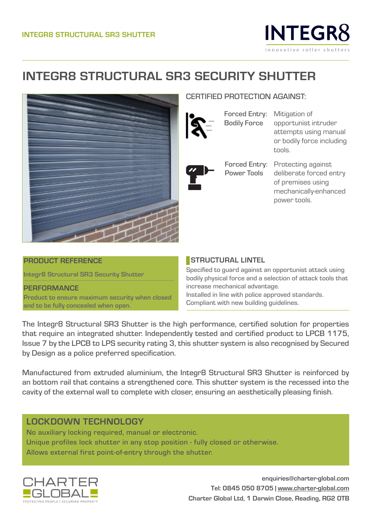

# **INTEGR8 STRUCTURAL SR3 SECURITY SHUTTER**



# CERTIFIED PROTECTION AGAINST:

Bodily Force

Power Tools

Forced Entry: Mitigation of opportunist intruder attempts using manual or bodily force including tools.

Forced Entry: Protecting against deliberate forced entry of premises using mechanically-enhanced power tools.

#### **PRODUCT REFERENCE**

**Integr8 Structural SR3 Security Shutter**

**PERFORMANCE Product to ensure maximum security when closed and to be fully concealed when open.**

#### **STRUCTURAL LINTEL**

Specified to guard against an opportunist attack using bodily physical force and a selection of attack tools that increase mechanical advantage. Installed in line with police approved standards. Compliant with new building guidelines.

The Integr8 Structural SR3 Shutter is the high performance, certified solution for properties that require an integrated shutter. Independently tested and certified product to LPCB 1175, Issue 7 by the LPCB to LPS security rating 3, this shutter system is also recognised by Secured by Design as a police preferred specification.

Manufactured from extruded aluminium, the Integr8 Structural SR3 Shutter is reinforced by an bottom rail that contains a strengthened core. This shutter system is the recessed into the cavity of the external wall to complete with closer, ensuring an aesthetically pleasing finish.

# LOCKDOWN TECHNOLOGY

No auxiliary locking required, manual or electronic. Unique profiles lock shutter in any stop position - fully closed or otherwise. Allows external first point-of-entry through the shutter.



**enquiries@charter-global.com Tel: 0845 050 8705 | www.charter-global.com Charter Global Ltd, 1 Darwin Close, Reading, RG2 0TB**